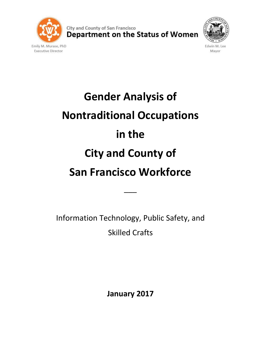

**Executive Director** 



Edwin M. Lee Mayor

# **Gender Analysis of Nontraditional Occupations in the City and County of San Francisco Workforce**

Information Technology, Public Safety, and Skilled Crafts

\_\_\_

**January 2017**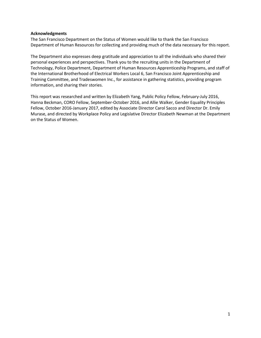## **Acknowledgments**

The San Francisco Department on the Status of Women would like to thank the San Francisco Department of Human Resources for collecting and providing much of the data necessary for this report.

The Department also expresses deep gratitude and appreciation to all the individuals who shared their personal experiences and perspectives. Thank you to the recruiting units in the Department of Technology, Police Department, Department of Human Resources Apprenticeship Programs, and staff of the International Brotherhood of Electrical Workers Local 6, San Francisco Joint Apprenticeship and Training Committee, and Tradeswomen Inc., for assistance in gathering statistics, providing program information, and sharing their stories.

This report was researched and written by Elizabeth Yang, Public Policy Fellow, February-July 2016, Hanna Beckman, CORO Fellow, September-October 2016, and Allie Walker, Gender Equality Principles Fellow, October 2016-January 2017, edited by Associate Director Carol Sacco and Director Dr. Emily Murase, and directed by Workplace Policy and Legislative Director Elizabeth Newman at the Department on the Status of Women.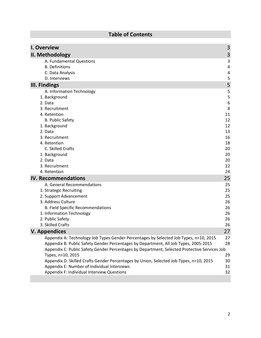<span id="page-2-0"></span>

| <b>Table of Contents</b>                                                                     |          |  |  |  |
|----------------------------------------------------------------------------------------------|----------|--|--|--|
|                                                                                              |          |  |  |  |
| <b>I. Overview</b>                                                                           | 3        |  |  |  |
| II. Methodology                                                                              | 3        |  |  |  |
| A. Fundamental Questions                                                                     | 3        |  |  |  |
| <b>B.</b> Definitions                                                                        | 4        |  |  |  |
| C. Data Analysis<br>D. Interviews                                                            | 4        |  |  |  |
| <b>III. Findings</b>                                                                         | 5<br>5   |  |  |  |
| A. Information Technology                                                                    | 5        |  |  |  |
| 1. Background                                                                                | 5        |  |  |  |
| 2. Data                                                                                      | 6        |  |  |  |
| 3. Recruitment                                                                               | 8        |  |  |  |
| 4. Retention                                                                                 | 11       |  |  |  |
| <b>B. Public Safety</b>                                                                      | 12       |  |  |  |
| 1. Background                                                                                | 12       |  |  |  |
| 2. Data                                                                                      | 13       |  |  |  |
| 3. Recruitment<br>4. Retention                                                               | 16<br>18 |  |  |  |
| C. Skilled Crafts                                                                            | 20       |  |  |  |
| 1. Background                                                                                | 20       |  |  |  |
| 2. Data                                                                                      | 20       |  |  |  |
| 3. Recruitment                                                                               | 22       |  |  |  |
| 4. Retention                                                                                 | 24       |  |  |  |
| <b>IV. Recommendations</b>                                                                   | 25       |  |  |  |
| A. General Recommendations                                                                   | 25       |  |  |  |
| 1. Strategic Recruiting                                                                      | 25       |  |  |  |
| 2. Support Advancement                                                                       | 25       |  |  |  |
| 3. Address Culture                                                                           | 26       |  |  |  |
| <b>B. Field Specific Recommendations</b><br>1. Information Technology                        | 26<br>26 |  |  |  |
| 2. Public Safety                                                                             | 26       |  |  |  |
| 3. Skilled Crafts                                                                            | 26       |  |  |  |
| <b>V. Appendices</b>                                                                         | 27       |  |  |  |
| Appendix A: Technology Job Types Gender Percentages by Selected Job Types, n>10, 2015        | 27       |  |  |  |
| Appendix B: Public Safety Gender Percentages by Department, All Job Types, 2005-2015         | 28       |  |  |  |
| Appendix C: Public Safety Gender Percentages by Department, Selected Protective Services Job |          |  |  |  |
| Types, n>10, 2015                                                                            | 29       |  |  |  |
| Appendix D: Skilled Crafts Gender Percentages by Union, Selected Job Types, n>10, 2015       | 30       |  |  |  |
| Appendix E: Number of Individual Interviews                                                  | 31       |  |  |  |
| Appendix F: Individual Interview Questions                                                   | 32       |  |  |  |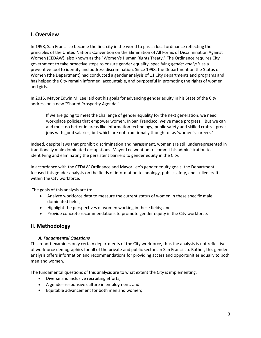# **I. Overview**

In 1998, San Francisco became the first city in the world to pass a local ordinance reflecting the principles of the United Nations Convention on the Elimination of All Forms of Discrimination Against Women (CEDAW), also known as the "Women's Human Rights Treaty." The Ordinance requires City government to take proactive steps to ensure gender equality, specifying *gender analysis* as a preventive tool to identify and address discrimination. Since 1998, the Department on the Status of Women (the Department) had conducted a gender analysis of 11 City departments and programs and has helped the City remain informed, accountable, and purposeful in promoting the rights of women and girls.

In 2015, Mayor Edwin M. Lee laid out his goals for advancing gender equity in his State of the City address on a new "Shared Prosperity Agenda."

If we are going to meet the challenge of gender equality for the next generation, we need workplace policies that empower women. In San Francisco, we've made progress… But we can and must do better in areas like information technology, public safety and skilled crafts—great jobs with good salaries, but which are not traditionally thought of as 'women's careers.'

Indeed, despite laws that prohibit discrimination and harassment, women are still underrepresented in traditionally male dominated occupations. Mayor Lee went on to commit his administration to identifying and eliminating the persistent barriers to gender equity in the City.

In accordance with the CEDAW Ordinance and Mayor Lee's gender equity goals, the Department focused this gender analysis on the fields of information technology, public safety, and skilled crafts within the City workforce.

The goals of this analysis are to:

- Analyze workforce data to measure the current status of women in these specific male dominated fields;
- Highlight the perspectives of women working in these fields; and
- Provide concrete recommendations to promote gender equity in the City workforce.

# <span id="page-3-0"></span>**II. Methodology**

## *A. Fundamental Questions*

<span id="page-3-1"></span>This report examines only certain departments of the City workforce, thus the analysis is not reflective of workforce demographics for all of the private and public sectors in San Francisco. Rather, this gender analysis offers information and recommendations for providing access and opportunities equally to both men and women.

The fundamental questions of this analysis are to what extent the City is implementing:

- Diverse and inclusive recruiting efforts;
- A gender-responsive culture in employment; and
- Equitable advancement for both men and women;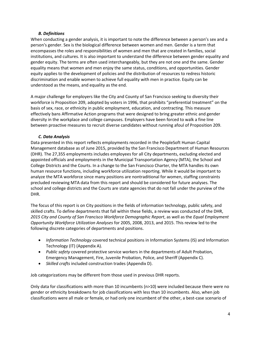## *B. Definitions*

<span id="page-4-0"></span>When conducting a gender analysis, it is important to note the difference between a person's sex and a person's gender. Sex is the biological difference between women and men. Gender is a term that encompasses the roles and responsibilities of women and men that are created in families, social institutions, and cultures. It is also important to understand the difference between gender equality and gender equity. The terms are often used interchangeably, but they are not one and the same. Gender equality means that women and men enjoy the same status, conditions, and opportunities. Gender equity applies to the development of policies and the distribution of resources to redress historic discrimination and enable women to achieve full equality with men in practice. Equity can be understood as the means, and equality as the end.

A major challenge for employers like the City and County of San Francisco seeking to diversity their workforce is Proposition 209, adopted by voters in 1996, that prohibits "preferential treatment" on the basis of sex, race, or ethnicity in public employment, education, and contracting. This measure effectively bans Affirmative Action programs that were designed to bring greater ethnic and gender diversity in the workplace and college campuses. Employers have been forced to walk a fine line between proactive measures to recruit diverse candidates without running afoul of Proposition 209.

## *C. Data Analysis*

<span id="page-4-1"></span>Data presented in this report reflects employments recorded in the PeopleSoft Human Capital Management database as of June 2015, provided by the San Francisco Department of Human Resources (DHR). The 27,355 employments includes employees for all City departments, excluding elected and appointed officials and employments in the Municipal Transportation Agency (MTA), the School and College Districts and the Courts. In a change to the San Francisco Charter, the MTA handles its own human resource functions, including workforce utilization reporting. While it would be important to analyze the MTA workforce since many positions are nontraditional for women, staffing constraints precluded reviewing MTA data from this report and should be considered for future analyses. The school and college districts and the Courts are state agencies that do not fall under the purview of the DHR.

The focus of this report is on City positions in the fields of information technology, public safety, and skilled crafts. To define departments that fall within these fields, a review was conducted of the DHR, *2015 City and County of San Francisco Workforce Demographic Report*, as well as the *Equal Employment Opportunity Workforce Utilization Analyses* for 2005, 2008, 2013, and 2015. This review led to the following discrete categories of departments and positions.

- *Information Technology* covered technical positions in Information Systems (IS) and Information Technology (IT) (Appendix A).
- *Public safety* covered protective service workers in the departments of Adult Probation, Emergency Management, Fire, Juvenile Probation, Police, and Sheriff (Appendix C).
- *Skilled crafts* included construction trades (Appendix D).

Job categorizations may be different from those used in previous DHR reports.

Only data for classifications with more than 10 incumbents (n>10) were included because there were no gender or ethnicity breakdowns for job classifications with less than 10 incumbents. Also, when job classifications were all male or female, or had only one incumbent of the other, a best-case scenario of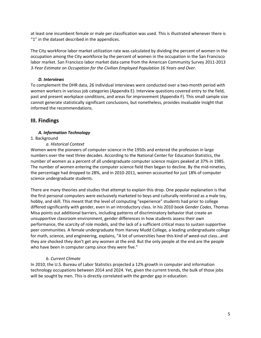at least one incumbent female or male per classification was used. This is illustrated whenever there is "1" in the dataset described in the appendices.

The City workforce labor market utilization rate was calculated by dividing the percent of women in the occupation among the City workforce by the percent of women in the occupation in the San Francisco labor market. San Francisco labor market data came from the American Community Survey 2011-2013 *3-Year Estimate on Occupation for the Civilian Employed Population 16 Years and Over*.

## *D. Interviews*

<span id="page-5-0"></span>To complement the DHR data, 26 individual interviews were conducted over a two-month period with women workers in various job categories (Appendix E). Interview questions covered entry to the field, past and present workplace conditions, and areas for improvement (Appendix F). This small sample size cannot generate statistically significant conclusions, but nonetheless, provides invaluable insight that informed the recommendations.

# <span id="page-5-1"></span>**III. Findings**

## *A. Information Technology*

## <span id="page-5-3"></span><span id="page-5-2"></span>1. Background

## *a. Historical Context*

Women were the pioneers of computer science in the 1950s and entered the profession in large numbers over the next three decades. According to the National Center for Education Statistics, the number of women as a percent of all undergraduate computer science majors peaked at 37% in 1985. The number of women entering the computer science field then began to decline. By the mid-nineties, the percentage had dropped to 28%, and in 2010-2011, women accounted for just 18% of computer science undergraduate students.

There are many theories and studies that attempt to explain this drop. One popular explanation is that the first personal computers were exclusively marketed to boys and culturally reinforced as a male toy, hobby, and skill. This meant that the level of computing "experience" students had prior to college differed significantly with gender, even in an introductory class. In his 2010 book *Gender Codes*, Thomas Misa points out additional barriers, including patterns of discriminatory behavior that create an unsupportive classroom environment, gender differences in how students assess their own performance, the scarcity of role models, and the lack of a sufficient critical mass to sustain supportive peer communities. A female undergraduate from Harvey Mudd College, a leading undergraduate college for math, science, and engineering, explains, "A lot of universities have this kind of weed-out class…and they are shocked they don't get any women at the end. But the only people at the end are the people who have been in computer camp since they were five."

## *b. Current Climate*

In 2010, the U.S. Bureau of Labor Statistics projected a 12% growth in computer and information technology occupations between 2014 and 2024. Yet, given the current trends, the bulk of those jobs will be sought by men. This is directly correlated with the gender gap in education.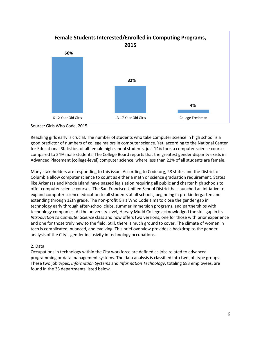# **66% 32% 4%** 6-12 Year Old Girls 13-17 Year Old Girls College Freshman **Female Students Interested/Enrolled in Computing Programs, 2015**

Source*:* Girls Who Code, 2015.

Reaching girls early is crucial. The number of students who take computer science in high school is a good predictor of numbers of college majors in computer science. Yet, according to the National Center for Educational Statistics, of all female high school students, just 14% took a computer science course compared to 24% male students. The College Board reports that the greatest gender disparity exists in Advanced Placement (college-level) computer science, where less than 22% of all students are female.

Many stakeholders are responding to this issue. According to Code.org, 28 states and the District of Columbia allow computer science to count as either a math or science graduation requirement. States like Arkansas and Rhode Island have passed legislation requiring all public and charter high schools to offer computer science courses. The San Francisco Unified School District has launched an initiative to expand computer science education to all students at all schools, beginning in pre-kindergarten and extending through 12th grade. The non-profit Girls Who Code aims to close the gender gap in technology early through after-school clubs, summer immersion programs, and partnerships with technology companies. At the university level, Harvey Mudd College acknowledged the skill gap in its *Introduction to Computer Science* class and now offers two versions, one for those with prior experience and one for those truly new to the field. Still, there is much ground to cover. The climate of women in tech is complicated, nuanced, and evolving. This brief overview provides a backdrop to the gender analysis of the City's gender inclusivity in technology occupations.

## <span id="page-6-0"></span>2. Data

Occupations in technology within the City workforce are defined as jobs related to advanced programming or data management systems. The data analysis is classified into two job type groups. These two job types, *Information Systems* and *Information Technology*, totaling 683 employees, are found in the 33 departments listed below.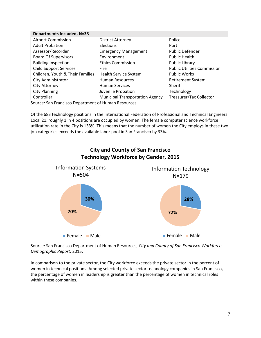| <b>Departments Included, N=33</b> |                                        |                                    |  |  |  |  |
|-----------------------------------|----------------------------------------|------------------------------------|--|--|--|--|
| <b>Airport Commission</b>         | <b>District Attorney</b>               | Police                             |  |  |  |  |
| <b>Adult Probation</b>            | Elections                              | Port                               |  |  |  |  |
| Assessor/Recorder                 | <b>Emergency Management</b>            | <b>Public Defender</b>             |  |  |  |  |
| <b>Board Of Supervisors</b>       | Environment                            | <b>Public Health</b>               |  |  |  |  |
| <b>Building Inspection</b>        | <b>Ethics Commission</b>               | Public Library                     |  |  |  |  |
| <b>Child Support Services</b>     | Fire                                   | <b>Public Utilities Commission</b> |  |  |  |  |
| Children, Youth & Their Families  | <b>Health Service System</b>           | <b>Public Works</b>                |  |  |  |  |
| City Administrator                | <b>Human Resources</b>                 | <b>Retirement System</b>           |  |  |  |  |
| City Attorney                     | <b>Human Services</b>                  | Sheriff                            |  |  |  |  |
| <b>City Planning</b>              | Juvenile Probation                     | Technology                         |  |  |  |  |
| Controller                        | <b>Municipal Transportation Agency</b> | <b>Treasurer/Tax Collector</b>     |  |  |  |  |

Source*:* San Francisco Department of Human Resources.

Of the 683 technology positions in the International Federation of Professional and Technical Engineers Local 21, roughly 1 in 4 positions are occupied by women. The female computer science workforce utilization rate in the City is 133%. This means that the number of women the City employs in these two job categories exceeds the available labor pool in San Francisco by 33%.



Source*:* San Francisco Department of Human Resources, *City and County of San Francisco Workforce* 

*Demographic Report,* 2015. In comparison to the private sector, the City workforce exceeds the private sector in the percent of women in technical positions. Among selected private sector technology companies in San Francisco, the percentage of women in leadership is greater than the percentage of women in technical roles

within these companies.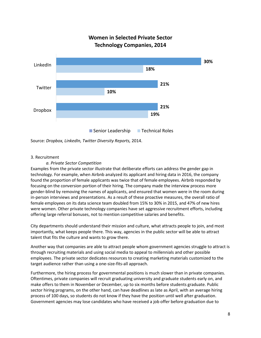

# **Women in Selected Private Sector Technology Companies, 2014**

Source: *Dropbox, LinkedIn, Twitter Diversity Reports,* 2014.

## <span id="page-8-0"></span>3. Recruitment

## *a. Private Sector Competition*

Examples from the private sector illustrate that deliberate efforts can address the gender gap in technology. For example, when Airbnb analyzed its applicant and hiring data in 2016, the company found the proportion of female applicants was twice that of female employees. Airbnb responded by focusing on the conversion portion of their hiring. The company made the interview process more gender-blind by removing the names of applicants, and ensured that women were in the room during in-person interviews and presentations. As a result of these proactive measures, the overall ratio of female employees on its data science team doubled from 15% to 30% in 2015, and 47% of new hires were women. Other private technology companies have set aggressive recruitment efforts, including offering large referral bonuses, not to mention competitive salaries and benefits.

City departments should understand their mission and culture, what attracts people to join, and most importantly, what keeps people there. This way, agencies in the public sector will be able to attract talent that fits the culture and wants to grow there.

Another way that companies are able to attract people whom government agencies struggle to attract is through recruiting materials and using social media to appeal to millennials and other possible employees. The private sector dedicates resources to creating marketing materials customized to the target audience rather than using a one-size-fits-all approach.

Furthermore, the hiring process for governmental positions is much slower than in private companies. Oftentimes, private companies will recruit graduating university and graduate students early on, and make offers to them in November or December, up to six months before students graduate. Public sector hiring programs, on the other hand, can have deadlines as late as April, with an average hiring process of 100 days, so students do not know if they have the position until well after graduation. Government agencies may lose candidates who have received a job offer before graduation due to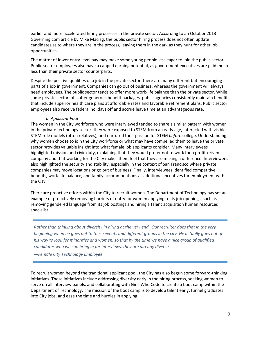earlier and more accelerated hiring processes in the private sector. According to an October 2013 Governing.com article by Mike Maciag, the public sector hiring process does not often update candidates as to where they are in the process, leaving them in the dark as they hunt for other job opportunities.

The matter of lower entry-level pay may make some young people less eager to join the public sector. Public sector employees also have a capped earning potential, as government executives are paid much less than their private sector counterparts.

Despite the positive qualities of a job in the private sector, there are many different but encouraging parts of a job in government. Companies can go out of business, whereas the government will always need employees. The public sector tends to offer more work-life balance than the private sector. While some private sector jobs offer generous benefit packages, public agencies consistently maintain benefits that include superior health care plans at affordable rates and favorable retirement plans. Public sector employees also receive federal holidays off and accrue leave time at an advantageous rate.

## *b. Applicant Pool*

The women in the City workforce who were interviewed tended to share a similar pattern with women in the private technology sector: they were exposed to STEM from an early age, interacted with visible STEM role models (often relatives), and nurtured their passion for STEM *before* college. Understanding why women choose to join the City workforce or what may have compelled them to leave the private sector provides valuable insight into what female job applicants consider. Many interviewees highlighted mission and civic duty, explaining that they would prefer not to work for a profit-driven company and that working for the City makes them feel that they are making a difference. Interviewees also highlighted the security and stability, especially in the context of San Francisco where private companies may move locations or go out of business. Finally, interviewees identified competitive benefits, work-life balance, and family accommodations as additional incentives for employment with the City.

There are proactive efforts within the City to recruit women. The Department of Technology has set an example of proactively removing barriers of entry for women applying to its job openings, such as removing gendered language from its job postings and hiring a talent acquisition human resources specialist.

*Rather than thinking about diversity in hiring at the very end...Our recruiter does that in the very beginning when he goes out to these events and different groups in the city. He actually goes out of his way to look for minorities and women, so that by the time we have a nice group of qualified candidates who we can bring in for interviews, they are already diverse.*

*—Female City Technology Employee*

To recruit women beyond the traditional applicant pool, the City has also begun some forward-thinking initiatives. These initiatives include addressing diversity early in the hiring process, seeking women to serve on all interview panels, and collaborating with Girls Who Code to create a boot camp within the Department of Technology. The mission of the boot camp is to develop talent early, funnel graduates into City jobs, and ease the time and hurdles in applying.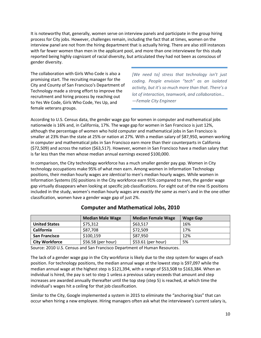It is noteworthy that, generally, women serve on interview panels and participate in the group hiring process for City jobs. However, challenges remain, including the fact that at times, women on the interview panel are not from the hiring department that is actually hiring. There are also still instances with far fewer women than men in the applicant pool, and more than one interviewee for this study reported being highly cognizant of racial diversity, but articulated they had not been as conscious of gender diversity.

The collaboration with Girls Who Code is also a promising start. The recruiting manager for the City and County of San Francisco's Department of Technology made a strong effort to improve the recruitment and hiring process by reaching out to Yes We Code, Girls Who Code, Yes Up, and female veterans groups.

*[We need to] stress that technology isn't just coding. People envision "tech" as an isolated activity, but it's so much more than that. There's a lot of interaction, teamwork, and collaboration… —Female City Engineer*

According to U.S. Census data, the gender wage gap for women in computer and mathematical jobs nationwide is 16% and, in California, 17%. The wage gap for women in San Francisco is just 12%, although the percentage of women who hold computer and mathematical jobs in San Francisco is smaller at 23% than the state at 25% or nation at 27%. With a median salary of \$87,950, women working in computer and mathematical jobs in San Francisco earn more than their counterparts in California (\$72,509) and across the nation (\$63,517). However, women in San Francisco have a median salary that is far less than the men whose median annual earnings exceed \$100,000.

In comparison, the City technology workforce has a much smaller gender pay gap. Women in City technology occupations make 95% of what men earn. Among women in Information Technology positions, their median hourly wages are *identical* to men's median hourly wages. While women in Information Systems (IS) positions in the City workforce earn 91% compared to men, the gender wage gap virtually disappears when looking at specific job classifications. For eight out of the nine IS positions included in the study, women's median hourly wages are *exactly the same* as men's and in the one other classification, women have a gender wage gap of just 2%.

|                       | <b>Median Male Wage</b> | <b>Median Female Wage</b> | <b>Wage Gap</b> |
|-----------------------|-------------------------|---------------------------|-----------------|
| <b>United States</b>  | \$75,312                | \$63,517                  | 16%             |
| California            | \$87,708                | \$72,509                  | 17%             |
| <b>San Francisco</b>  | \$100,159               | \$87,950                  | 12%             |
| <b>City Workforce</b> | \$56.58 (per hour)      | \$53.61 (per hour)        | 5%              |

# **Computer and Mathematical Jobs, 2010**

Source: 2010 U.S. Census and San Francisco Department of Human Resources.

The lack of a gender wage gap in the City workforce is likely due to the step system for wages of each position. For technology positions, the median annual wage at the lowest step is \$97,097 while the median annual wage at the highest step is \$121,394, with a range of \$53,508 to \$163,384. When an individual is hired, the pay is set to step 1 unless a previous salary exceeds that amount and step increases are awarded annually thereafter until the top step (step 5) is reached, at which time the individual's wages hit a ceiling for that job classification.

Similar to the City, Google implemented a system in 2015 to eliminate the "anchoring bias" that can occur when hiring a new employee. Hiring managers often ask what the interviewee's current salary is,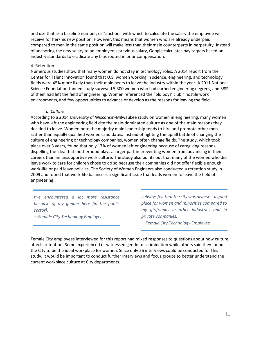and use that as a baseline number, or "anchor," with which to calculate the salary the employee will receive for her/his new position. However, this means that women who are already underpaid compared to men in the same position will make less than their male counterparts in perpetuity. Instead of anchoring the new salary to an employee's previous salary, Google calculates pay targets based on industry standards to eradicate any bias rooted in prior compensation.

## <span id="page-11-0"></span>4. Retention

Numerous studies show that many women do not stay in technology roles. A 2014 report from the Center for Talent Innovation found that U.S. women working in science, engineering, and technology fields were 45% more likely than their male peers to leave the industry within the year. A 2011 National Science Foundation-funded study surveyed 5,300 women who had earned engineering degrees, and 38% of them had left the field of engineering. Women referenced the "old boys' club," hostile work environments, and few opportunities to advance or develop as the reasons for leaving the field.

### *a. Culture*

According to a 2014 University of Wisconsin-Milwaukee study on women in engineering, many women who have left the engineering field cite the male-dominated culture as one of the main reasons they decided to leave. Women note the majority male leadership tends to hire and promote other men rather than equally qualified women candidates. Instead of fighting the uphill battle of changing the culture of engineering or technology companies, women often change fields. The study, which took place over 3 years, found that only 17% of women left engineering because of caregiving reasons, dispelling the idea that motherhood plays a larger part in preventing women from advancing in their careers than an unsupportive work culture. The study also points out that many of the women who did leave work to care for children chose to do so because their companies did not offer flexible enough work-life or paid leave policies. The Society of Women Engineers also conducted a retention study in 2009 and found that work-life balance is a significant issue that leads women to leave the field of engineering.

*I've encountered a lot more resistance because of my gender here [in the public sector].*

*—Female City Technology Employee*

*I always felt that the city was diverse-- a good place for women and minorities compared to my girlfriends in other industries and in private companies.*

*—Female City Technology Employee*

Female City employees interviewed for this report had mixed responses to questions about how culture affects retention. Some experienced or witnessed gender discrimination while others said they found the City to be the ideal workplace for women. Since only 26 interviews could be conducted for this study, it would be important to conduct further interviews and focus groups to better understand the current workplace culture at City departments.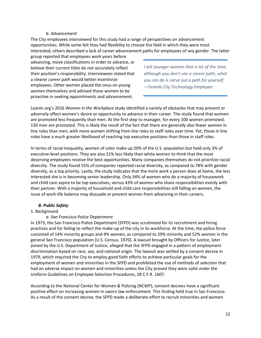## *b. Advancement*

The City employees interviewed for this study had a range of perspectives on advancement opportunities. While some felt they had flexibility to choose the field in which they were most interested, others described a lack of career advancement paths for employees of any gender. The latter

group reported that employees work years before advancing, move classifications in order to advance, or believe their current titles do not accurately reflect their position's responsibility. Interviewees stated that a clearer career path would better incentivize employees. Other women placed the onus on young women themselves and advised those women to be proactive in seeking appointments and advancement.

*I tell younger women that a lot of the time, although you don't see a career path, what you can do is carve out a path for yourself. —Female City Technology Employee*

LeanIn.org's 2016 *Women in the Workplace* study identified a variety of obstacles that may prevent or adversely affect women's desire or opportunity to advance in their career. The study found that women are promoted less frequently than men. At the first step to manager, for every 100 women promoted, 130 men are promoted. This is likely the result of the fact that there are generally also fewer women in line roles than men, with more women shifting from line roles to staff roles over time. Yet, those in line roles have a much greater likelihood of reaching top executive positions than those in staff roles.

In terms of racial inequality, women of color make up 20% of the U.S. population but hold only 3% of executive-level positions. They are also 21% less likely than white women to think that the most deserving employees receive the best opportunities. Many companies themselves do not prioritize racial diversity. The study found 55% of companies reported racial diversity, as compared to 78% with gender diversity, as a top priority. Lastly, the study indicates that the more work a person does at home, the less interested she is in becoming senior leadership. Only 34% of women who do a majority of housework and child care aspire to be top executives, versus 43% of women who share responsibilities evenly with their partner. With a majority of household and child care responsibilities still falling on women, the issue of work-life balance may dissuade or prevent women from advancing in their careers.

## *B. Public Safety*

## <span id="page-12-1"></span><span id="page-12-0"></span>1. Background

## *a. San Francisco Police Department*

In 1973, the San Francisco Police Department (SFPD) was scrutinized for its recruitment and hiring practices and for failing to reflect the make-up of the city in its workforce. At the time, the police force consisted of 14% minority groups and 4% women, as compared to 29% minority and 52% women in the general San Francisco population (U.S. Census, 1970). A lawsuit brought by Officers for Justice, later joined by the U.S. Department of Justice, alleged that the SFPD engaged in a pattern of employment discrimination based on race, sex, and national origin. The lawsuit was settled by a consent decree in 1979, which required the City to employ good faith efforts to achieve particular goals for the employment of women and minorities in the SFPD and prohibited the use of methods of selection that had an adverse impact on women and minorities unless the City proved they were valid under the Uniform Guidelines on Employee Selection Procedures, 28 C.F.R. 1607.

According to the National Center for Women & Policing (NCWP), consent decrees have a significant positive effect on increasing women in sworn law enforcement. This finding held true in San Francisco. As a result of the consent decree, the SFPD made a deliberate effort to recruit minorities and women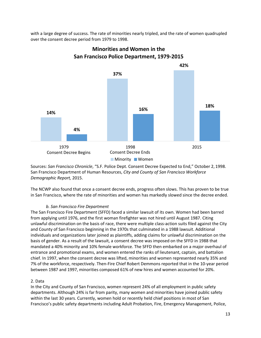with a large degree of success. The rate of minorities nearly tripled, and the rate of women quadrupled over the consent decree period from 1979 to 1998.



**Minorities and Women in the San Francisco Police Department, 1979-2015**

Sources: *San Francisco Chronicle*, "S.F. Police Dept. Consent Decree Expected to End," October 2, 1998. San Francisco Department of Human Resources, *City and County of San Francisco Workforce Demographic Report,* 2015.

The NCWP also found that once a consent decree ends, progress often slows. This has proven to be true in San Francisco, where the rate of minorities and women has markedly slowed since the decree ended.

## *b. San Francisco Fire Department*

The San Francisco Fire Department (SFFD) faced a similar lawsuit of its own. Women had been barred from applying until 1976, and the first woman firefighter was not hired until August 1987. Citing unlawful discrimination on the basis of race, there were multiple class-action suits filed against the City and County of San Francisco beginning in the 1970s that culminated in a 1988 lawsuit. Additional individuals and organizations later joined as plaintiffs, adding claims for unlawful discrimination on the basis of gender. As a result of the lawsuit, a consent decree was imposed on the SFFD in 1988 that mandated a 40% minority and 10% female workforce. The SFFD then embarked on a major overhaul of entrance and promotional exams, and women entered the ranks of lieutenant, captain, and battalion chief. In 1997, when the consent decree was lifted, minorities and women represented nearly 35% and 7% of the workforce, respectively. Then-Fire Chief Robert Demmons reported that in the 10-year period between 1987 and 1997, minorities composed 61% of new hires and women accounted for 20%.

## <span id="page-13-0"></span>2. Data

In the City and County of San Francisco, women represent 24% of all employment in public safety departments. Although 24% is far from parity, many women and minorities have joined public safety within the last 30 years. Currently, women hold or recently held chief positions in most of San Francisco's public safety departments including Adult Probation, Fire, Emergency Management, Police,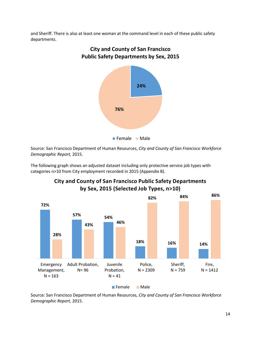and Sheriff. There is also at least one woman at the command level in each of these public safety departments.



Source*:* San Francisco Department of Human Resources, *City and County of San Francisco Workforce Demographic Report,* 2015.

The following graph shows an adjusted dataset including only protective service job types with categories n>10 from City employment recorded in 2015 (Appendix B).



# **City and County of San Francisco Public Safety Departments by Sex, 2015 (Selected Job Types, n>10)**

Source*:* San Francisco Department of Human Resources, *City and County of San Francisco Workforce Demographic Report,* 2015.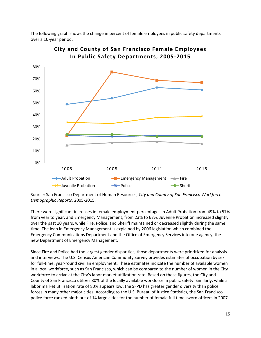The following graph shows the change in percent of female employees in public safety departments over a 10-year period.



**City and County of San Francisco Female Employees In Public Safety Departments, 2005-2015**

Source*:* San Francisco Department of Human Resources, *City and County of San Francisco Workforce Demographic Reports,* 2005-2015.

There were significant increases in female employment percentages in Adult Probation from 49% to 57% from year to year, and Emergency Management, from 23% to 67%. Juvenile Probation increased slightly over the past 10 years, while Fire, Police, and Sheriff maintained or decreased slightly during the same time. The leap in Emergency Management is explained by 2006 legislation which combined the Emergency Communications Department and the Office of Emergency Services into one agency, the new Department of Emergency Management.

Since Fire and Police had the largest gender disparities, those departments were prioritized for analysis and interviews. The U.S. Census American Community Survey provides estimates of occupation by sex for full-time, year-round civilian employment. These estimates indicate the number of available women in a local workforce, such as San Francisco, which can be compared to the number of women in the City workforce to arrive at the City's labor market utilization rate. Based on these figures, the City and County of San Francisco utilizes 80% of the locally available workforce in public safety. Similarly, while a labor market utilization rate of 80% appears low, the SFPD has greater gender diversity than police forces in many other major cities. According to the U.S. Bureau of Justice Statistics, the San Francisco police force ranked ninth out of 14 large cities for the number of female full time sworn officers in 2007.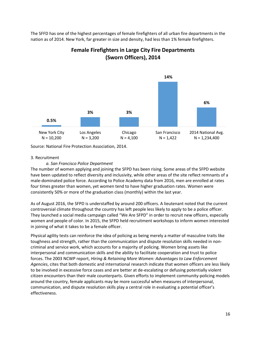The SFFD has one of the highest percentages of female firefighters of all urban fire departments in the nation as of 2014. New York, far greater in size and density, had less than 1% female firefighters.



# **Female Firefighters in Large City Fire Departments (Sworn Officers), 2014**

Source: National Fire Protection Association*,* 2014.

## <span id="page-16-0"></span>3. Recruitment

## *a. San Francisco Police Department*

The number of women applying and joining the SFPD has been rising. Some areas of the SFPD website have been updated to reflect diversity and inclusivity, while other areas of the site reflect remnants of a male-dominated police force. According to Police Academy data from 2016, men are enrolled at rates four times greater than women, yet women tend to have higher graduation rates. Women were consistently 50% or more of the graduation class (monthly) within the last year.

As of August 2016, the SFPD is understaffed by around 200 officers. A lieutenant noted that the current controversial climate throughout the country has left people less likely to apply to be a police officer. They launched a social media campaign called "We Are SFPD" in order to recruit new officers, especially women and people of color. In 2015, the SFPD held recruitment workshops to inform women interested in joining of what it takes to be a female officer.

Physical agility tests can reinforce the idea of policing as being merely a matter of masculine traits like toughness and strength, rather than the communication and dispute resolution skills needed in noncriminal and service work, which accounts for a majority of policing. Women bring assets like interpersonal and communication skills and the ability to facilitate cooperation and trust to police forces. The 2003 NCWP report, *Hiring & Retaining More Women: Advantages to Law Enforcement Agencies*, cites that both domestic and international research indicate that women officers are less likely to be involved in excessive force cases and are better at de-escalating or defusing potentially violent citizen encounters than their male counterparts. Given efforts to implement community-policing models around the country, female applicants may be more successful when measures of interpersonal, communication, and dispute resolution skills play a central role in evaluating a potential officer's effectiveness.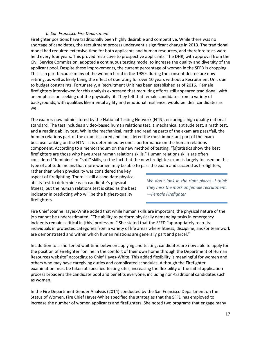## *b. San Francisco Fire Department*

Firefighter positions have traditionally been highly desirable and competitive. While there was no shortage of candidates, the recruitment process underwent a significant change in 2013. The traditional model had required extensive time for both applicants and human resources, and therefore tests were held every four years. This proved restrictive to prospective applicants. The DHR, with approval from the Civil Service Commission, adopted a continuous testing model to increase the quality and diversity of the applicant pool. Despite these improvements, the current percentage of women in the SFFD is dropping. This is in part because many of the women hired in the 1980s during the consent decree are now retiring, as well as likely being the effect of operating for over 10 years without a Recruitment Unit due to budget constraints. Fortunately, a Recruitment Unit has been established as of 2016. Female firefighters interviewed for this analysis expressed that recruiting efforts still appeared traditional, with an emphasis on seeking out the physically fit. They felt that female candidates from a variety of backgrounds, with qualities like mental agility and emotional resilience, would be ideal candidates as well.

The exam is now administered by the National Testing Network (NTN), ensuring a high quality national standard. The test includes a video-based human relations test, a mechanical aptitude test, a math test, and a reading ability test. While the mechanical, math and reading parts of the exam are pass/fail, the human relations part of the exam is scored and considered the most important part of the exam because ranking on the NTN list is determined by one's performance on the human relations component. According to a memorandum on the new method of testing, "[s]tatistics show the best firefighters are those who have great human relations skills." Human relations skills are often considered "feminine" or "soft" skills, so the fact that the new firefighter exam is largely focused on this type of aptitude means that more women may be able to pass the exam and succeed as firefighters,

rather than when physicality was considered the key aspect of firefighting. There is still a candidate physical ability test to determine each candidate's physical fitness, but the human relations test is cited as the best indicator in predicting who will be the highest-quality firefighters.

*We don't look in the right places…I think they miss the mark on female recruitment. —Female Firefighter*

Fire Chief Joanne Hayes-White added that while human skills are important, the physical nature of the job cannot be underestimated: "The ability to perform physically demanding tasks in emergency incidents remains critical in [this] profession." She stated that the SFFD "appropriately recruits individuals in protected categories from a variety of life areas where fitness, discipline, and/or teamwork are demonstrated and within which human relations are generally part and parcel."

In addition to a shortened wait time between applying and testing, candidates are now able to apply for the position of Firefighter "online in the comfort of their own home through the Department of Human Resources website" according to Chief Hayes-White. This added flexibility is meaningful for women and others who may have caregiving duties and complicated schedules. Although the Firefighter examination must be taken at specified testing sites, increasing the flexibility of the initial application process broadens the candidate pool and benefits everyone, including non-traditional candidates such as women.

In the Fire Department Gender Analysis (2014) conducted by the San Francisco Department on the Status of Women, Fire Chief Hayes-White specified the strategies that the SFFD has employed to increase the number of women applicants and firefighters. She noted two programs that engage many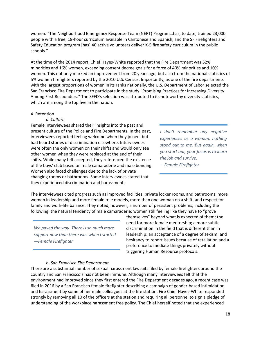women: "The Neighborhood Emergency Response Team (NERT) Program…has, to date, trained 23,000 people with a free, 18-hour curriculum available in Cantonese and Spanish, and the SF Firefighters and Safety Education program [has] 40 active volunteers deliver K-5 fire safety curriculum in the public schools."

At the time of the 2014 report, Chief Hayes-White reported that the Fire Department was 52% minorities and 16% women, exceeding consent decree goals for a force of 40% minorities and 10% women. This not only marked an improvement from 20 years ago, but also from the national statistics of 5% women firefighters reported by the 2010 U.S. Census. Importantly, as one of the fire departments with the largest proportions of women in its ranks nationally, the U.S. Department of Labor selected the San Francisco Fire Department to participate in the study "Promising Practices for Increasing Diversity Among First Responders." The SFFD's selection was attributed to its noteworthy diversity statistics, which are among the top five in the nation.

## <span id="page-18-0"></span>4. Retention

### *a. Culture*

Female interviewees shared their insights into the past and present culture of the Police and Fire Departments. In the past, interviewees reported feeling welcome when they joined, but had heard stories of discrimination elsewhere. Interviewees were often the only women on their shifts and would only see other women when they were replaced at the end of their shifts. While many felt accepted, they referenced the existence of the boys' club based on male camaraderie and male bonding. Women also faced challenges due to the lack of private changing rooms or bathrooms. Some interviewees stated that they experienced discrimination and harassment.

*I don't remember any negative experiences as a woman, nothing stood out to me. But again, when you start out, your focus is to learn the job and survive. —Female Firefighter*

The interviewees cited progress such as improved facilities, private locker rooms, and bathrooms, more women in leadership and more female role models, more than one woman on a shift, and respect for family and work-life balance. They noted, however, a number of persistent problems, including the following: the natural tendency of male camaraderie; women still feeling like they have to "prove

*We paved the way. There is so much more support now than there was when I started. —Female Firefighter*

themselves" beyond what is expected of them; the need for more female mentorship; a more subtle discrimination in the field that is different than in leadership; an acceptance of a degree of sexism; and hesitancy to report issues because of retaliation and a preference to mediate things privately without triggering Human Resource protocols.

## *b. San Francisco Fire Department*

There are a substantial number of sexual harassment lawsuits filed by female firefighters around the country and San Francisco's has not been immune. Although many interviewees felt that the environment had improved since they first entered the Fire Department decades ago, a recent case was filed in 2016 by a San Francisco female firefighter describing a campaign of gender-based intimidation and harassment by some of her male colleagues at the fire station. Fire Chief Hayes-White responded strongly by removing all 10 of the officers at the station and requiring all personnel to sign a pledge of understanding of the workplace harassment free policy. The Chief herself noted that she experienced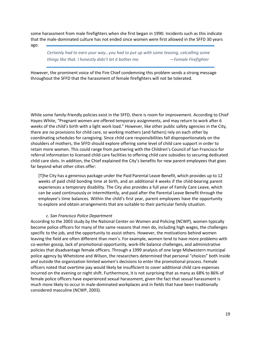some harassment from male firefighters when she first began in 1990. Incidents such as this indicate that the male-dominated culture has not ended since women were first allowed in the SFFD 30 years

ago.

*Certainly had to earn your way…you had to put up with some teasing, catcalling some things like that. I honestly didn't let it bother me. —Female Firefighter*

However, the prominent voice of the Fire Chief condemning this problem sends a strong message throughout the SFFD that the harassment of female firefighters will not be tolerated.

While some family-friendly policies exist in the SFFD, there is room for improvement. According to Chief Hayes-White, "Pregnant women are offered temporary assignments, and may return to work after 6 weeks of the child's birth with a light work load." However, like other public safety agencies in the City, there are no provisions for child care, so working mothers (and fathers) rely on each other by coordinating schedules for caregiving. Since child care responsibilities fall disproportionately on the shoulders of mothers, the SFFD should explore offering some level of child care support in order to retain more women. This could range from partnering with the Children's Council of San Francisco for referral information to licensed child care facilities to offering child care subsidies to securing dedicated child care slots. In addition, the Chief explained the City's benefits for new parent employees that goes far beyond what other cities offer:

[T]he City has a generous package under the Paid Parental Leave Benefit, which provides up to 12 weeks of paid child bonding time at birth, and an additional 4 weeks if the child-bearing parent experiences a temporary disability. The City also provides a full year of Family Care Leave, which can be used continuously or intermittently, and paid after the Parental Leave Benefit through the employee's time balances. Within the child's first year, parent employees have the opportunity to explore and obtain arrangements that are suitable to their particular family situation.

## *c. San Francisco Police Department*

According to the 2003 study by the National Center on Women and Policing (NCWP), women typically become police officers for many of the same reasons that men do, including high wages, the challenges specific to the job, and the opportunity to assist others. However, the motivations behind women leaving the field are often different than men's. For example, women tend to have more problems with co-worker gossip, lack of promotional opportunity, work-life balance challenges, and administrative policies that disadvantage female officers. Through a 1999 analysis of one large Midwestern municipal police agency by Whetstone and Wilson, the researchers determined that personal "choices" both inside and outside the organization limited women's decisions to enter the promotional process. Female officers noted that overtime pay would likely be insufficient to cover additional child care expenses incurred on the evening or night shift. Furthermore, it is not surprising that as many as 68% to 86% of female police officers have experienced sexual harassment, given the fact that sexual harassment is much more likely to occur in male-dominated workplaces and in fields that have been traditionally considered masculine (NCWP, 2003).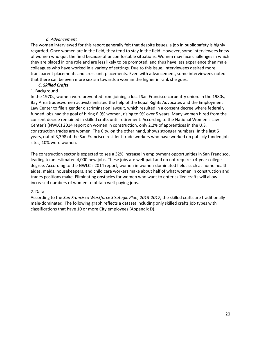## *d. Advancement*

The women interviewed for this report generally felt that despite issues, a job in public safety is highly regarded. Once women are in the field, they tend to stay in the field. However, some interviewees knew of women who quit the field because of uncomfortable situations. Women may face challenges in which they are placed in one role and are less likely to be promoted, and thus have less experience than male colleagues who have worked in a variety of settings. Due to this issue, interviewees desired more transparent placements and cross unit placements. Even with advancement, some interviewees noted that there can be even more sexism towards a woman the higher in rank she goes.

## *C. Skilled Crafts*

## <span id="page-20-1"></span><span id="page-20-0"></span>1. Background

In the 1970s, women were prevented from joining a local San Francisco carpentry union. In the 1980s, Bay Area tradeswomen activists enlisted the help of the Equal Rights Advocates and the Employment Law Center to file a gender discrimination lawsuit, which resulted in a consent decree where federally funded jobs had the goal of hiring 6.9% women, rising to 9% over 5 years. Many women hired from the consent decree remained in skilled crafts until retirement. According to the National Women's Law Center's (NWLC) 2014 report on women in construction, only 2.2% of apprentices in the U.S. construction trades are women. The City, on the other hand, shows stronger numbers: In the last 5 years, out of 3,398 of the San Francisco resident trade workers who have worked on publicly funded job sites, 10% were women.

The construction sector is expected to see a 32% increase in employment opportunities in San Francisco, leading to an estimated 4,000 new jobs. These jobs are well-paid and do not require a 4-year college degree. According to the NWLC's 2014 report, women in women-dominated fields such as home health aides, maids, housekeepers, and child care workers make about half of what women in construction and trades positions make. Eliminating obstacles for women who want to enter skilled crafts will allow increased numbers of women to obtain well-paying jobs.

## <span id="page-20-2"></span>2. Data

According to the *San Francisco Workforce Strategic Plan, 2013-2017*, the skilled crafts are traditionally male-dominated. The following graph reflects a dataset including only skilled crafts job types with classifications that have 10 or more City employees (Appendix D).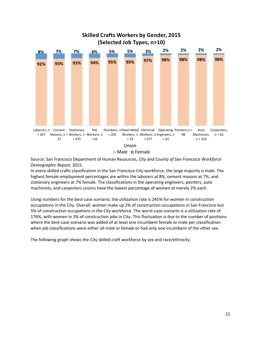

Source: San Francisco Department of Human Resources, *City and County of San Francisco Workforce Demographic Report,* 2015.

In every skilled crafts classification in the San Francisco City workforce, the large majority is male. The highest female employment percentages are within the laborers at 8%, cement masons at 7%, and stationary engineers at 7% female. The classifications in the operating engineers, painters, auto machinists, and carpenters unions have the lowest percentage of women at merely 2% each.

Using numbers for the best-case scenario, the utilization rate is 245% for women in construction occupations in the City. Overall, women make up 2% of construction occupations in San Francisco but 5% of construction occupations in the City workforce. The worst-case scenario is a utilization rate of 176%, with women in 3% of construction jobs in City. This fluctuation is due to the number of positions where the best-case scenario was added of at least one incumbent female or male per classification when job classifications were either all male or female or had only one incumbent of the other sex.

The following graph shows the City skilled craft workforce by sex and race/ethnicity.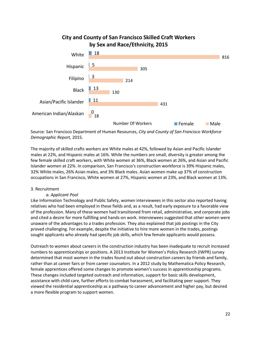

Source*:* San Francisco Department of Human Resources, *City and County of San Francisco Workforce Demographic Report,* 2015.

The majority of skilled crafts workers are White males at 42%, followed by Asian and Pacific Islander males at 22%, and Hispanic males at 16%. While the numbers are small, diversity is greater among the few female skilled craft workers, with White women at 36%, Black women at 26%, and Asian and Pacific Islander women at 22%. In comparison, San Francisco's construction workforce is 39% Hispanic males, 32% White males, 26% Asian males, and 3% Black males. Asian women make up 37% of construction occupations in San Francisco, White women at 27%, Hispanic women at 23%, and Black women at 13%.

## <span id="page-22-0"></span>3. Recruitment

## *a. Applicant Pool*

Like Information Technology and Public Safety, women interviewees in this sector also reported having relatives who had been employed in these fields and, as a result, had early exposure to a favorable view of the profession. Many of these women had transitioned from retail, administrative, and corporate jobs and cited a desire for more fulfilling and hands-on work. Interviewees suggested that other women were unaware of the advantages to a trades profession. They also explained that job postings in the City proved challenging. For example, despite the initiative to hire more women in the trades, postings sought applicants who already had specific job skills, which few female applicants would possess.

Outreach to women about careers in the construction industry has been inadequate to recruit increased numbers to apprenticeships or positions. A 2013 Institute for Women's Policy Research (IWPR) survey determined that most women in the trades found out about construction careers by friends and family, rather than at career fairs or from career counselors. In a 2012 study by Mathematica Policy Research, female apprentices offered some changes to promote women's success in apprenticeship programs. These changes included targeted outreach and information, support for basic skills development, assistance with child care, further efforts to combat harassment, and facilitating peer support. They viewed the residential apprenticeship as a pathway to career advancement and higher pay, but desired a more flexible program to support women.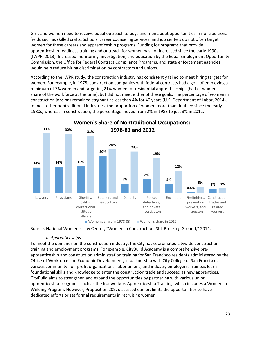Girls and women need to receive equal outreach to boys and men about opportunities in nontraditional fields such as skilled crafts. Schools, career counseling services, and job centers do not often target women for these careers and apprenticeship programs. Funding for programs that provide apprenticeship readiness training and outreach for women has not increased since the early 1990s (IWPR, 2013). Increased monitoring, investigation, and education by the Equal Employment Opportunity Commission, the Office for Federal Contract Compliance Programs, and state enforcement agencies would help reduce hiring discrimination by contractors and unions.

According to the IWPR study, the construction industry has consistently failed to meet hiring targets for women. For example, in 1978, construction companies with federal contracts had a goal of employing a minimum of 7% women and targeting 21% women for residential apprenticeships (half of women's share of the workforce at the time), but did not meet either of these goals. The percentage of women in construction jobs has remained stagnant at less than 4% for 40 years (U.S. Department of Labor, 2014). In most other nontraditional industries, the proportion of women more than doubled since the early 1980s, whereas in construction, the percentage moved from 2% in 1983 to just 3% in 2012.



Source: National Women's Law Center, "Women in Construction: Still Breaking Ground," 2014.

## *b. Apprenticeships*

To meet the demands on the construction industry, the City has coordinated citywide construction training and employment programs. For example, CityBuild Academy is a comprehensive preapprenticeship and construction administration training for San Francisco residents administered by the Office of Workforce and Economic Development, in partnership with City College of San Francisco, various community non-profit organizations, labor unions, and industry employers. Trainees learn foundational skills and knowledge to enter the construction trade and succeed as new apprentices. CityBuild aims to strengthen and expand the opportunities by partnering with various union apprenticeship programs, such as the Ironworkers Apprenticeship Training, which includes a Women in Welding Program. However, Proposition 209, discussed earlier, limits the opportunities to have dedicated efforts or set formal requirements in recruiting women.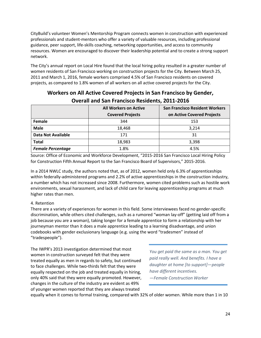CityBuild's volunteer Women's Mentorship Program connects women in construction with experienced professionals and student-mentors who offer a variety of valuable resources, including professional guidance, peer support, life-skills coaching, networking opportunities, and access to community resources. Women are encouraged to discover their leadership potential and to create a strong support network.

The City's annual report on Local Hire found that the local hiring policy resulted in a greater number of women residents of San Francisco working on construction projects for the City. Between March 25, 2011 and March 1, 2016, female workers comprised 4.5% of San Francisco residents on covered projects, as compared to 1.8% women of all workers on all active covered projects for the City.

| Overall and Sall Francisco Residents, 2011-2016 |                                                                       |                            |  |  |  |  |
|-------------------------------------------------|-----------------------------------------------------------------------|----------------------------|--|--|--|--|
|                                                 | <b>San Francisco Resident Workers</b><br><b>All Workers on Active</b> |                            |  |  |  |  |
|                                                 | <b>Covered Projects</b>                                               | on Active Covered Projects |  |  |  |  |
| Female                                          | 344                                                                   | 153                        |  |  |  |  |
| <b>Male</b>                                     | 18,468                                                                | 3,214                      |  |  |  |  |
| <b>Data Not Available</b>                       | 171                                                                   | 31                         |  |  |  |  |
| <b>Total</b>                                    | 18,983                                                                | 3,398                      |  |  |  |  |
| <b>Female Percentage</b>                        | 1.8%                                                                  | 4.5%                       |  |  |  |  |

# **Workers on All Active Covered Projects in San Francisco by Gender, Overall and San Francisco Residents, 2011-2016**

Source: Office of Economic and Workforce Development, "2015-2016 San Francisco Local Hiring Policy for Construction Fifth Annual Report to the San Francisco Board of Supervisors," 2015-2016.

In a 2014 NWLC study, the authors noted that, as of 2012, women held only 6.3% of apprenticeships within federally-administered programs and 2.2% of active apprenticeships in the construction industry, a number which has not increased since 2008. Furthermore, women cited problems such as hostile work environments, sexual harassment, and lack of child care for leaving apprenticeship programs at much higher rates than men.

## <span id="page-24-0"></span>4. Retention

There are a variety of experiences for women in this field. Some interviewees faced no gender-specific discrimination, while others cited challenges, such as a rumored "woman lay-off" (getting laid off from a job because you are a woman), taking longer for a female apprentice to form a relationship with her journeyman mentor than it does a male apprentice leading to a learning disadvantage, and union codebooks with gender exclusionary language (e.g. using the word "tradesmen" instead of "tradespeople").

The IWPR's 2013 investigation determined that most women in construction surveyed felt that they were treated equally as men in regards to safety, but continued to face challenges. While two-thirds felt that they were equally respected on the job and treated equally in hiring, only 40% said that they were equally promoted. However, changes in the culture of the industry are evident as 49% of younger women reported that they are always treated

*You get paid the same as a man. You get paid really well. And benefits. I have a daughter at home [to support]—people have different incentives. —Female Construction Worker*

equally when it comes to formal training, compared with 32% of older women. While more than 1 in 10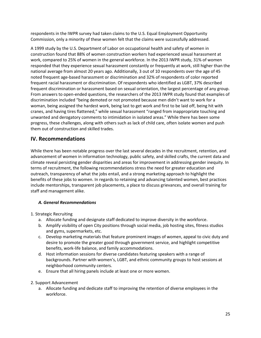respondents in the IWPR survey had taken claims to the U.S. Equal Employment Opportunity Commission, only a minority of these women felt that the claims were successfully addressed.

A 1999 study by the U.S. Department of Labor on occupational health and safety of women in construction found that 88% of women construction workers had experienced sexual harassment at work, compared to 25% of women in the general workforce. In the 2013 IWPR study, 31% of women responded that they experience sexual harassment constantly or frequently at work, still higher than the national average from almost 20 years ago. Additionally, 3 out of 10 respondents over the age of 45 noted frequent age-based harassment or discrimination and 32% of respondents of color reported frequent racial harassment or discrimination. Of respondents who identified as LGBT, 37% described frequent discrimination or harassment based on sexual orientation, the largest percentage of any group. From answers to open-ended questions, the researchers of the 2013 IWPR study found that examples of discrimination included "being demoted or not promoted because men didn't want to work for a woman, being assigned the hardest work, being last to get work and first to be laid off, being hit with cranes, and having tires flattened," while sexual harassment "ranged from inappropriate touching and unwanted and derogatory comments to intimidation in isolated areas." While there has been some progress, these challenges, along with others such as lack of child care, often isolate women and push them out of construction and skilled trades.

# <span id="page-25-0"></span>**IV. Recommendations**

While there has been notable progress over the last several decades in the recruitment, retention, and advancement of women in information technology, public safety, and skilled crafts, the current data and climate reveal persisting gender disparities and areas for improvement in addressing gender inequity. In terms of recruitment, the following recommendations stress the need for greater education and outreach, transparency of what the jobs entail, and a strong marketing approach to highlight the benefits of these jobs to women. In regards to retaining and advancing talented women, best practices include mentorships, transparent job placements, a place to discuss grievances, and overall training for staff and management alike.

## <span id="page-25-1"></span>*A. General Recommendations*

<span id="page-25-2"></span>1. Strategic Recruiting

- a. Allocate funding and designate staff dedicated to improve diversity in the workforce.
- b. Amplify visibility of open City positions through social media, job hosting sites, fitness studios and gyms, supermarkets, etc.
- c. Develop marketing materials that feature prominent images of women, appeal to civic duty and desire to promote the greater good through government service, and highlight competitive benefits, work-life balance, and family accommodations.
- d. Host information sessions for diverse candidates featuring speakers with a range of backgrounds. Partner with women's, LGBT, and ethnic community groups to host sessions at neighborhood community centers.
- e. Ensure that all hiring panels include at least one or more women.

## <span id="page-25-3"></span>2. Support Advancement

a. Allocate funding and dedicate staff to improving the retention of diverse employees in the workforce.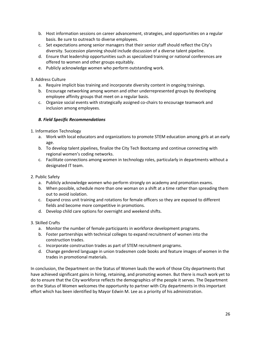- b. Host information sessions on career advancement, strategies, and opportunities on a regular basis. Be sure to outreach to diverse employees.
- c. Set expectations among senior managers that their senior staff should reflect the City's diversity. Succession planning should include discussion of a diverse talent pipeline.
- d. Ensure that leadership opportunities such as specialized training or national conferences are offered to women and other groups equitably.
- e. Publicly acknowledge women who perform outstanding work.

## <span id="page-26-0"></span>3. Address Culture

- a. Require implicit bias training and incorporate diversity content in ongoing trainings.
- b. Encourage networking among women and other underrepresented groups by developing employee affinity groups that meet on a regular basis.
- c. Organize social events with strategically assigned co-chairs to encourage teamwork and inclusion among employees.

## <span id="page-26-1"></span>*B. Field Specific Recommendations*

## <span id="page-26-2"></span>1. Information Technology

- a. Work with local educators and organizations to promote STEM education among girls at an early age.
- b. To develop talent pipelines, finalize the City Tech Bootcamp and continue connecting with regional women's coding networks.
- c. Facilitate connections among women in technology roles, particularly in departments without a designated IT team.

## <span id="page-26-3"></span>2. Public Safety

- a. Publicly acknowledge women who perform strongly on academy and promotion exams.
- b. When possible, schedule more than one woman on a shift at a time rather than spreading them out to avoid isolation.
- c. Expand cross unit training and rotations for female officers so they are exposed to different fields and become more competitive in promotions.
- d. Develop child care options for overnight and weekend shifts.
- <span id="page-26-4"></span>3. Skilled Crafts
	- a. Monitor the number of female participants in workforce development programs.
	- b. Foster partnerships with technical colleges to expand recruitment of women into the construction trades.
	- c. Incorporate construction trades as part of STEM recruitment programs.
	- d. Change gendered language in union tradesmen code books and feature images of women in the trades in promotional materials.

In conclusion, the Department on the Status of Women lauds the work of those City departments that have achieved significant gains in hiring, retaining, and promoting women. But there is much work yet to do to ensure that the City workforce reflects the demographics of the people it serves. The Department on the Status of Women welcomes the opportunity to partner with City departments in this important effort which has been identified by Mayor Edwin M. Lee as a priority of his administration.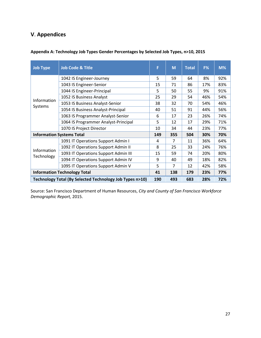# <span id="page-27-0"></span>**V**. **Appendices**

| <b>Job Type</b>                                          | <b>Job Code &amp; Title</b>          | F   | M   | <b>Total</b> | F%  | $M\%$ |
|----------------------------------------------------------|--------------------------------------|-----|-----|--------------|-----|-------|
|                                                          | 1042 IS Engineer-Journey             | 5   | 59  | 64           | 8%  | 92%   |
|                                                          | 1043 IS Engineer-Senior              | 15  | 71  | 86           | 17% | 83%   |
|                                                          | 1044 IS Engineer-Principal           | 5   | 50  | 55           | 9%  | 91%   |
|                                                          | 1052 IS Business Analyst             | 25  | 29  | 54           | 46% | 54%   |
| Information                                              | 1053 IS Business Analyst-Senior      | 38  | 32  | 70           | 54% | 46%   |
| Systems                                                  | 1054 IS Business Analyst-Principal   | 40  | 51  | 91           | 44% | 56%   |
|                                                          | 1063 IS Programmer Analyst-Senior    | 6   | 17  | 23           | 26% | 74%   |
|                                                          | 1064 IS Programmer Analyst-Principal | 5   | 12  | 17           | 29% | 71%   |
| 1070 IS Project Director                                 |                                      | 10  | 34  | 44           | 23% | 77%   |
|                                                          | <b>Information Systems Total</b>     | 149 | 355 | 504          | 30% | 70%   |
|                                                          | 1091 IT Operations Support Admin I   | 4   | 7   | 11           | 36% | 64%   |
|                                                          | 1092 IT Operations Support Admin II  | 8   | 25  | 33           | 24% | 76%   |
| Information<br>Technology                                | 1093 IT Operations Support Admin III | 15  | 59  | 74           | 20% | 80%   |
|                                                          | 1094 IT Operations Support Admin IV  | 9   | 40  | 49           | 18% | 82%   |
|                                                          | 1095 IT Operations Support Admin V   | 5   | 7   | 12           | 42% | 58%   |
| <b>Information Technology Total</b>                      |                                      | 41  | 138 | 179          | 23% | 77%   |
| Technology Total (By Selected Technology Job Types n>10) |                                      | 190 | 493 | 683          | 28% | 72%   |

## <span id="page-27-1"></span>**Appendix A: Technology Job Types Gender Percentages by Selected Job Types, n>10, 2015**

Source: San Francisco Department of Human Resources, *City and County of San Francisco Workforce Demographic Report,* 2015.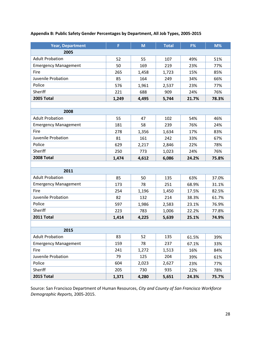## <span id="page-28-0"></span>**Appendix B: Public Safety Gender Percentages by Department, All Job Types, 2005-2015**

| <b>Year, Department</b>     | F     | M     | <b>Total</b>   | F%    | $M\%$ |
|-----------------------------|-------|-------|----------------|-------|-------|
| 2005                        |       |       |                |       |       |
| <b>Adult Probation</b>      | 52    | 55    | 107            | 49%   | 51%   |
| <b>Emergency Management</b> | 50    | 169   | 219            | 23%   | 77%   |
| Fire                        | 265   | 1,458 | 1,723          | 15%   | 85%   |
| Juvenile Probation          | 85    | 164   | 249            | 34%   | 66%   |
| Police                      | 576   | 1,961 | 2,537          | 23%   | 77%   |
| Sheriff                     | 221   | 688   | 909            | 24%   | 76%   |
| 2005 Total                  | 1,249 | 4,495 | 5,744<br>21.7% |       | 78.3% |
|                             |       |       |                |       |       |
| 2008                        |       |       |                |       |       |
| <b>Adult Probation</b>      | 55    | 47    | 102            | 54%   | 46%   |
| <b>Emergency Management</b> | 181   | 58    | 239            | 76%   | 24%   |
| Fire                        | 278   | 1,356 | 1,634          | 17%   | 83%   |
| Juvenile Probation          | 81    | 161   | 242            | 33%   | 67%   |
| Police                      | 629   | 2,217 | 2,846          | 22%   | 78%   |
| Sheriff                     | 250   | 773   | 1,023          | 24%   | 76%   |
| 2008 Total                  | 1,474 | 4,612 | 6,086          | 24.2% | 75.8% |
|                             |       |       |                |       |       |
| 2011                        |       |       |                |       |       |
| <b>Adult Probation</b>      | 85    | 50    | 135            | 63%   | 37.0% |
| <b>Emergency Management</b> | 173   | 78    | 251            | 68.9% | 31.1% |
| Fire                        | 254   | 1,196 | 1,450          | 17.5% | 82.5% |
| Juvenile Probation          | 82    | 132   | 214            | 38.3% | 61.7% |
| Police                      | 597   | 1,986 | 2,583          | 23.1% | 76.9% |
| Sheriff                     | 223   | 783   | 1,006          | 22.2% | 77.8% |
| 2011 Total                  | 1,414 | 4,225 | 5,639          | 25.1% | 74.9% |
|                             |       |       |                |       |       |
| 2015                        |       |       |                |       |       |
| <b>Adult Probation</b>      | 83    | 52    | 135            | 61.5% | 39%   |
| <b>Emergency Management</b> | 159   | 78    | 237            | 67.1% | 33%   |
| Fire                        | 241   | 1,272 | 1,513          | 16%   | 84%   |
| Juvenile Probation          | 79    | 125   | 204            | 39%   | 61%   |
| Police                      | 604   | 2,023 | 2,627          | 23%   | 77%   |
| Sheriff                     | 205   | 730   | 935            | 22%   | 78%   |
| 2015 Total                  | 1,371 | 4,280 | 5,651          | 24.3% | 75.7% |

Source: San Francisco Department of Human Resources, *City and County of San Francisco Workforce Demographic Reports,* 2005-2015.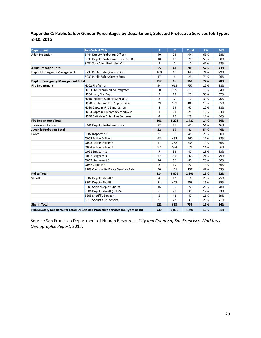## <span id="page-29-0"></span>**Appendix C: Public Safety Gender Percentages by Department, Selected Protective Services Job Types, n>10, 2015**

| <b>Department</b>                  | <b>Job Code &amp; Title</b>                                                      |     |                |       | F%  | $M\%$ |
|------------------------------------|----------------------------------------------------------------------------------|-----|----------------|-------|-----|-------|
| <b>Adult Probation</b>             | 8444 Deputy Probation Officer                                                    | 40  | 24             | 64    | 63% | 38%   |
|                                    | 8530 Deputy Probation Officer SFERS                                              | 10  | 10             | 20    | 50% | 50%   |
|                                    | 8434 Sprv Adult Probation Ofc                                                    | 5   | $\overline{7}$ | 12    | 42% | 58%   |
| <b>Adult Probation Total</b>       |                                                                                  | 55  | 41             | 96    | 57% | 43%   |
| Dept of Emergency Management       | 8238 Public SafetyComm Disp                                                      | 100 | 40             | 140   | 71% | 29%   |
|                                    | 8239 Public SafetyComm Supv                                                      | 17  | 6              | 23    | 74% | 26%   |
| Dept of Emergency Management Total |                                                                                  |     | 46             | 163   | 72% | 28%   |
| <b>Fire Department</b>             | H002 Firefighter                                                                 | 94  | 663            | 757   | 12% | 88%   |
|                                    | H003 EMT/Paramedic/Firefighter                                                   | 50  | 269            | 319   | 16% | 84%   |
| H004 Insp, Fire Dept               |                                                                                  | 9   | 18             | 27    | 33% | 67%   |
|                                    | H010 Incident Support Specialist                                                 | 3   | $\overline{7}$ | 10    | 30% | 70%   |
|                                    | H020 Lieutenant, Fire Suppression                                                | 29  | 159            | 188   | 15% | 85%   |
|                                    | H030 Captain, Fire Suppression                                                   | 8   | 59             | 67    | 12% | 88%   |
|                                    | H033 Captain, Emergency Med Svcs                                                 | 4   | 21             | 25    | 16% | 84%   |
|                                    | H040 Battalion Chief, Fire Suppress                                              | 4   | 25             | 29    | 14% | 86%   |
| <b>Fire Department Total</b>       |                                                                                  |     | 1,221          | 1,422 | 14% | 86%   |
| Juvenile Probation                 | 22                                                                               | 19  | 41             | 54%   | 46% |       |
| <b>Juvenile Probation Total</b>    |                                                                                  |     | 19             | 41    | 54% | 46%   |
| Police                             | 0382 Inspector 3                                                                 | 9   | 36             | 45    | 20% | 80%   |
|                                    | Q002 Police Officer                                                              | 68  | 492            | 560   | 12% | 88%   |
|                                    | Q003 Police Officer 2                                                            | 47  | 288            | 335   | 14% | 86%   |
|                                    | Q004 Police Officer 3                                                            | 97  | 574            | 671   | 14% | 86%   |
|                                    | Q051 Sergeant 2                                                                  | 7   | 33             | 40    | 18% | 83%   |
|                                    | Q052 Sergeant 3                                                                  | 77  | 286            | 363   | 21% | 79%   |
|                                    | Q062 Lieutenant 3                                                                | 16  | 66             | 82    | 20% | 80%   |
|                                    | Q082 Captain 3                                                                   | 3   | 19             | 22    | 14% | 86%   |
|                                    | 9209 Community Police Services Aide                                              | 90  | 101            | 191   | 47% | 53%   |
| <b>Police Total</b>                |                                                                                  | 414 | 1,895          | 2,309 | 18% | 82%   |
| Sheriff                            | 8302 Deputy Sheriff 1                                                            | 4   | 12             | 16    | 25% | 75%   |
|                                    | 8304 Deputy Sheriff                                                              | 81  | 477            | 558   | 15% | 85%   |
|                                    | 8306 Senior Deputy Sheriff                                                       | 16  | 56             | 72    | 22% | 78%   |
|                                    | 8504 Deputy Sheriff (SFERS)                                                      | 6   | 29             | 35    | 17% | 83%   |
|                                    | 8308 Sheriff's Sergeant                                                          | 5   | 42             | 47    | 11% | 89%   |
|                                    | 8310 Sheriff's Lieutenant                                                        | 9   | 22             | 31    | 29% | 71%   |
| <b>Sheriff Total</b>               |                                                                                  | 121 | 638            | 759   | 16% | 84%   |
|                                    | Public Safety Departments Total (By Selected Protective Services Job Types n>10) | 930 | 3,860          | 4,790 | 19% | 81%   |

Source: San Francisco Department of Human Resources, *City and County of San Francisco Workforce Demographic Report,* 2015.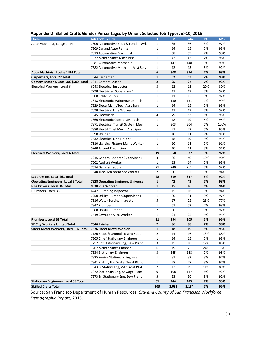| <b>Union</b>                                | Job Code & Title                                                  | F.                           | M        | <b>Total</b> | F%       | $M\%$      |
|---------------------------------------------|-------------------------------------------------------------------|------------------------------|----------|--------------|----------|------------|
| Auto Machinist, Lodge 1414                  | 7306 Automotive Body & Fender Wrk                                 |                              | 35       | 36           | 3%       | 97%        |
|                                             | 7309 Car and Auto Painter                                         | $\mathbf{1}$<br>$\mathbf{1}$ | 14       | 15           | 7%       | 93%        |
|                                             | 7313 Automotive Machinist                                         | $\mathbf{1}$                 | 58       | 59           | 2%       | 98%        |
|                                             | 7332 Maintenance Machinist                                        | $\mathbf{1}$                 | 42       | 43           | 2%       | 98%        |
|                                             | 7381 Automotive Mechanic                                          | $\mathbf{1}$                 | 147      | 148          | 1%       | 99%        |
|                                             | 7382 Automotive Mechanic Asst Sprv                                | 1                            | 12       | 13           | 8%       | 92%        |
| Auto Machinist, Lodge 1414 Total            |                                                                   | 6                            | 308      | 314          | 2%       | 98%        |
| <b>Carpenters, Local 22 Total</b>           | 7344 Carpenter                                                    | $\mathbf{1}$                 | 62       | 63           | 2%       | 98%        |
| Cement Masons, Local 300 (580) Total        | 7311 Cement Mason                                                 | $\mathbf{2}$                 | 25       | 27           | 7%       | 93%        |
| Electrical Workers, Local 6                 | 6248 Electrical Inspector                                         | 3                            | 12       | 15           | 20%      | 80%        |
|                                             | 7238 Electrician Supervisor 1                                     | $\mathbf{1}$                 | 11       | 12           | 8%       | 92%        |
|                                             | 7308 Cable Splicer                                                | $\mathbf{1}$                 | 11       | 12           | 8%       | 92%        |
|                                             | 7318 Electronic Maintenance Tech                                  | 1                            | 130      | 131          | 1%       | 99%        |
|                                             | 7329 Electr Maint Tech Asst Sprv                                  | 1                            | 14       | 15           | 7%       | 93%        |
|                                             | 7338 Electrical Line Worker                                       | $\mathbf{1}$                 | 11       | 12           | 8%       | 92%        |
|                                             | 7345 Electrician                                                  | 4                            | 79       | 83           | 5%       | 95%        |
|                                             | 7366 Electronic Control Sys Tech                                  | 1                            | 18       | 19           | 5%       | 95%        |
|                                             | 7371 Electrical Transit System Mech                               | $\mathbf{1}$                 | 203      | 204          | 0%       | 100%       |
|                                             | 7380 Electrl Trnst Mech, Asst Sprv                                | 1                            | 21       | 22           | 5%       | 95%        |
|                                             | 7390 Welder                                                       | 1                            | 10       | 11           | 9%       | 91%        |
|                                             |                                                                   | $\mathbf{1}$                 |          | 19           |          |            |
|                                             | 7432 Electrical Line Helper<br>7510 Lighting Fixture Maint Worker | $\mathbf{1}$                 | 18<br>10 | 11           | 5%<br>9% | 95%<br>91% |
|                                             |                                                                   | $\mathbf{1}$                 | 10       | 11           | 9%       | 91%        |
| 9240 Airport Electrician                    |                                                                   |                              |          |              |          |            |
| <b>Electrical Workers, Local 6 Total</b>    |                                                                   | 19<br>4                      | 558      | 577          | 3%       | 97%        |
|                                             | 7215 General Laborer Supervisor 1                                 |                              | 36       | 40           | 10%      | 90%        |
|                                             | 7502 Asphalt Worker                                               | $\mathbf{1}$                 | 13       | 14           | 7%       | 93%        |
|                                             | 7514 General Laborer                                              | 21                           | 240      | 261          | 8%       | 92%        |
|                                             | 7540 Track Maintenance Worker                                     | $\overline{2}$               | 30       | 32           | 6%       | 94%        |
| Laborers Int, Local 261 Total               |                                                                   | 28                           | 319      | 347          | 8%       | 92%        |
| <b>Operating Engineers, Local 3 Total</b>   | 7328 Operating Engineer, Universal                                | $\mathbf{1}$                 | 42       | 43           | 2%       | 98%        |
| Pile Drivers, Local 34 Total                | 9330 Pile Worker                                                  | $\mathbf{1}$                 | 15       | 16           | 6%       | 94%        |
| Plumbers, Local 38                          | 6242 Plumbing Inspector                                           | 1                            | 15       | 16           | 6%       | 94%        |
|                                             | 7250 Utility Plumber Supervisor 1                                 | 1                            | 30       | 31           | 3%       | 97%        |
|                                             | 7316 Water Service Inspector                                      | 5                            | 17       | 22           | 23%      | 77%        |
|                                             | 7347 Plumber                                                      | $\mathbf{1}$                 | 51       | 52           | 2%       | 98%        |
|                                             | 7388 Utility Plumber                                              | $\overline{2}$               | 60       | 62           | 3%       | 97%        |
|                                             | 7449 Sewer Service Worker                                         | $\mathbf{1}$                 | 21       | 22           | 5%       | 95%        |
| Plumbers, Local 38 Total                    |                                                                   | 11                           | 194      | 205          | 5%       | 95%        |
| <b>SF City Workers United Total</b>         | 7346 Painter                                                      | $\mathbf{2}$                 | 96       | 98           | 2%       | 98%        |
| Sheet Metal Workers, Local 104 Total        | 7376 Sheet Metal Worker                                           | 1                            | 18       | 19           | 5%       | 95%        |
|                                             | 7120 Bldgs & Grounds Maint Supt                                   | $\overline{2}$               | 14       | 16           | 13%      | 88%        |
|                                             | 7205 Chief Stationary Engineer                                    | 1                            | 14       | 15           | 7%       | 93%        |
|                                             | 7252 Chf Stationary Eng, Sew Plant                                | 3                            | 15       | 18           | 17%      | 83%        |
|                                             | 7262 Maintenance Planner                                          | 6                            | 19       | 25           | 24%      | 76%        |
|                                             | 7334 Stationary Engineer                                          | 3                            | 165      | 168          | 2%       | 98%        |
|                                             | 7335 Senior Stationary Engineer                                   | $\mathbf 1$                  | 31       | 32           | 3%       | 97%        |
|                                             | 7341 Statnry Eng Water Treat Plant                                | 1                            | 28       | 29           | 3%       | 97%        |
|                                             | 7343 Sr Statnry Eng, Wtr Treat Plnt                               | 2                            | 17       | 19           | 11%      | 89%        |
|                                             | 7372 Stationary Eng, Sewage Plant                                 | 9                            | 108      | 117          | 8%       | 92%        |
|                                             | 7373 Sr. Stationary Eng, Sew Plant                                | 3<br>31                      | 33       | 36           | 8%       | 92%        |
| <b>Stationary Engineers, Local 39 Total</b> |                                                                   |                              | 444      | 475          | 7%       | 93%        |
| <b>Skilled Crafts Total</b>                 |                                                                   |                              | 2,081    | 2,184        | 5%       | 95%        |

## <span id="page-30-0"></span>**Appendix D: Skilled Crafts Gender Percentages by Union, Selected Job Types, n>10, 2015**

Source: San Francisco Department of Human Resources, *City and County of San Francisco Workforce Demographic Report,* 2015.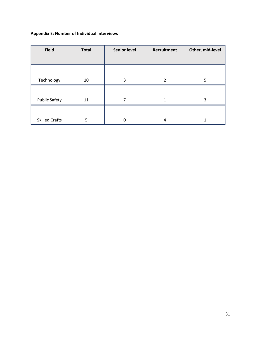## <span id="page-31-0"></span>**Appendix E: Number of Individual Interviews**

| <b>Field</b>          | <b>Total</b> | <b>Senior level</b> | Recruitment | Other, mid-level |
|-----------------------|--------------|---------------------|-------------|------------------|
| Technology            | 10           | 3                   | 2           | 5                |
|                       |              |                     |             |                  |
| <b>Public Safety</b>  | 11           | 7                   | 1           | 3                |
| <b>Skilled Crafts</b> | 5            | 0                   | 4           |                  |